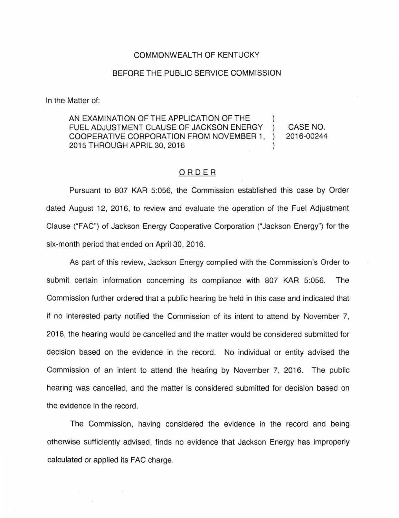## COMMONWEALTH OF KENTUCKY

## BEFORE THE PUBLIC SERVICE COMMISSION

In the Matter of:

AN EXAMINATION OF THE APPLICATION OF THE FUEL ADJUSTMENT CLAUSE OF JACKSON ENERGY  $\lambda$ COOPERATIVE CORPORATION FROM NOVEMBER 1,  $\lambda$ 2015 THROUGH APRIL 30, 2016

CASE NO. 2016-00244

## ORDER

Pursuant to 807 KAR 5:056, the Commission established this case by Order dated August 12, 2016, to review and evaluate the operation of the Fuel Adjustment Clause ("F AC") of Jackson Energy Cooperative Corporation ("Jackson Energy") for the six-month period that ended on April 30, 2016.

As part of this review, Jackson Energy complied with the Commission's Order to submit certain information concerning its compliance with 807 KAR 5:056. The Commission further ordered that a public hearing be held in this case and indicated that if no interested party notified the Commission of its intent to attend by November 7, 2016, the hearing would be cancelled and the matter would be considered submitted for decision based on the evidence in the record. No individual or entity advised the Commission of an intent to attend the hearing by November 7, 2016. The public hearing was cancelled, and the matter is considered submitted for decision based on the evidence in the record.

The Commission, having considered the evidence in the record and being otherwise sufficiently advised, finds no evidence that Jackson Energy has improperly calculated or applied its FAC charge.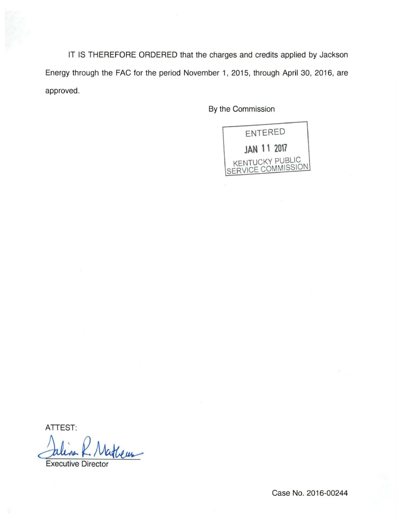IT IS THEREFORE ORDERED that the charges and credits applied by Jackson Energy through the FAC for the period November 1, 2015, through April 30, 2016, are approved.

By the Commission



ATTEST:

Julian K. Matheus

Case No. 2016-00244